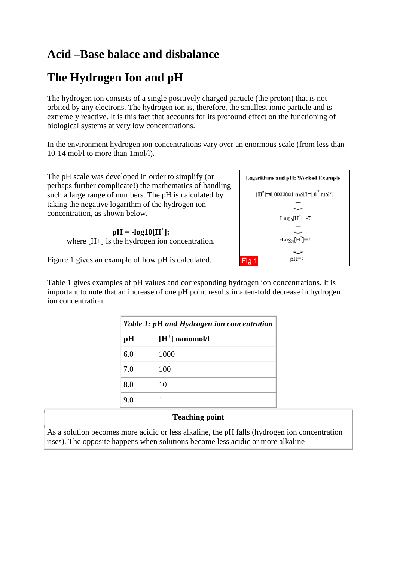## **Acid –Base balace and disbalance**

# **The Hydrogen Ion and pH**

The hydrogen ion consists of a single positively charged particle (the proton) that is not orbited by any electrons. The hydrogen ion is, therefore, the smallest ionic particle and is extremely reactive. It is this fact that accounts for its profound effect on the functioning of biological systems at very low concentrations.

In the environment hydrogen ion concentrations vary over an enormous scale (from less than 10-14 mol/l to more than 1mol/l).

The pH scale was developed in order to simplify (or perhaps further complicate!) the mathematics of handling such a large range of numbers. The pH is calculated by taking the negative logarithm of the hydrogen ion concentration, as shown below.

> $pH = -log10[H^+]:$ where [H+] is the hydrogen ion concentration.

Figure 1 gives an example of how pH is calculated.

Table 1 gives examples of pH values and corresponding hydrogen ion concentrations. It is important to note that an increase of one pH point results in a ten-fold decrease in hydrogen ion concentration.

| Table 1: pH and Hydrogen ion concentration |                   |
|--------------------------------------------|-------------------|
| pH                                         | $[H^+]$ nanomol/l |
| 6.0                                        | 1000              |
| 7.0                                        | 100               |
| 8.0                                        | 10                |
| 9.0                                        |                   |

### **Teaching point**

As a solution becomes more acidic or less alkaline, the pH falls (hydrogen ion concentration rises). The opposite happens when solutions become less acidic or more alkaline

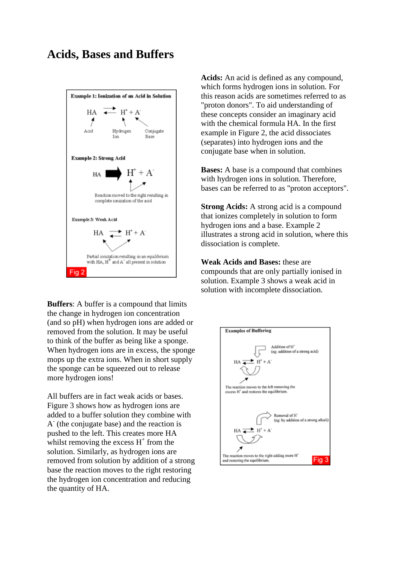### **Acids, Bases and Buffers**



**Buffers**: A buffer is a compound that limits the change in hydrogen ion concentration (and so pH) when hydrogen ions are added or removed from the solution. It may be useful to think of the buffer as being like a sponge. When hydrogen ions are in excess, the sponge mops up the extra ions. When in short supply the sponge can be squeezed out to release more hydrogen ions!

All buffers are in fact weak acids or bases. Figure 3 shows how as hydrogen ions are added to a buffer solution they combine with A - (the conjugate base) and the reaction is pushed to the left. This creates more HA whilst removing the excess  $H^+$  from the solution. Similarly, as hydrogen ions are removed from solution by addition of a strong base the reaction moves to the right restoring the hydrogen ion concentration and reducing the quantity of HA.

**Acids:** An acid is defined as any compound, which forms hydrogen ions in solution. For this reason acids are sometimes referred to as "proton donors". To aid understanding of these concepts consider an imaginary acid with the chemical formula HA. In the first example in Figure 2, the acid dissociates (separates) into hydrogen ions and the conjugate base when in solution.

**Bases:** A base is a compound that combines with hydrogen ions in solution. Therefore, bases can be referred to as "proton acceptors".

**Strong Acids:** A strong acid is a compound that ionizes completely in solution to form hydrogen ions and a base. Example 2 illustrates a strong acid in solution, where this dissociation is complete.

**Weak Acids and Bases:** these are compounds that are only partially ionised in solution. Example 3 shows a weak acid in solution with incomplete dissociation.

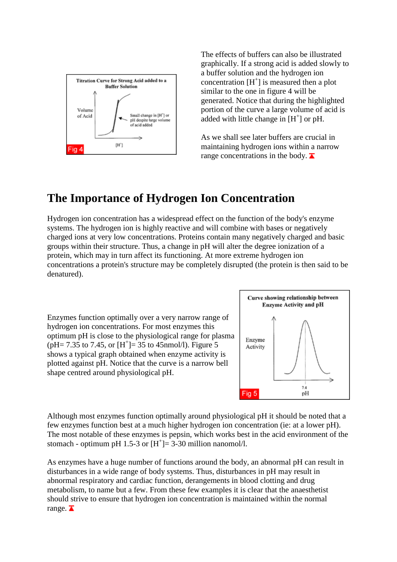

The effects of buffers can also be illustrated graphically. If a strong acid is added slowly to a buffer solution and the hydrogen ion concentration  $[H^+]$  is measured then a plot similar to the one in figure 4 will be generated. Notice that during the highlighted portion of the curve a large volume of acid is added with little change in  $[H^+]$  or pH.

As we shall see later buffers are crucial in maintaining hydrogen ions within a narrow range concentrations in the body.  $\blacksquare$ 

## **The Importance of Hydrogen Ion Concentration**

Hydrogen ion concentration has a widespread effect on the function of the body's enzyme systems. The hydrogen ion is highly reactive and will combine with bases or negatively charged ions at very low concentrations. Proteins contain many negatively charged and basic groups within their structure. Thus, a change in pH will alter the degree ionization of a protein, which may in turn affect its functioning. At more extreme hydrogen ion concentrations a protein's structure may be completely disrupted (the protein is then said to be denatured).

Enzymes function optimally over a very narrow range of hydrogen ion concentrations. For most enzymes this optimum pH is close to the physiological range for plasma  $(pH = 7.35$  to 7.45, or  $[H^+] = 35$  to 45nmol/l). Figure 5 shows a typical graph obtained when enzyme activity is plotted against pH. Notice that the curve is a narrow bell shape centred around physiological pH.



Although most enzymes function optimally around physiological pH it should be noted that a few enzymes function best at a much higher hydrogen ion concentration (ie: at a lower pH). The most notable of these enzymes is pepsin, which works best in the acid environment of the stomach - optimum pH 1.5-3 or  $[H^+] = 3-30$  million nanomol/l.

As enzymes have a huge number of functions around the body, an abnormal pH can result in disturbances in a wide range of body systems. Thus, disturbances in pH may result in abnormal respiratory and cardiac function, derangements in blood clotting and drug metabolism, to name but a few. From these few examples it is clear that the anaesthetist should strive to ensure that hydrogen ion concentration is maintained within the normal range.  $\blacksquare$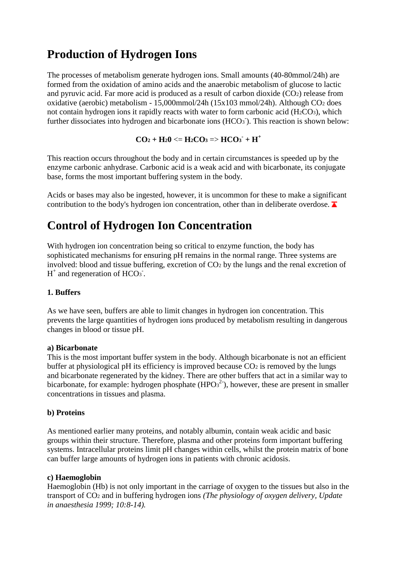## **Production of Hydrogen Ions**

The processes of metabolism generate hydrogen ions. Small amounts (40-80mmol/24h) are formed from the oxidation of amino acids and the anaerobic metabolism of glucose to lactic and pyruvic acid. Far more acid is produced as a result of carbon dioxide (CO2) release from oxidative (aerobic) metabolism - 15,000mmol/24h (15x103 mmol/24h). Although CO<sup>2</sup> does not contain hydrogen ions it rapidly reacts with water to form carbonic acid  $(H_2CO_3)$ , which further dissociates into hydrogen and bicarbonate ions (HCO<sub>3</sub>). This reaction is shown below:

```
CO_2 + H_20 \leq H_2CO_3 \Rightarrow HCO_3 + H^+
```
This reaction occurs throughout the body and in certain circumstances is speeded up by the enzyme carbonic anhydrase. Carbonic acid is a weak acid and with bicarbonate, its conjugate base, forms the most important buffering system in the body.

Acids or bases may also be ingested, however, it is uncommon for these to make a significant contribution to the body's hydrogen ion concentration, other than in deliberate overdose.  $\blacksquare$ 

# **Control of Hydrogen Ion Concentration**

With hydrogen ion concentration being so critical to enzyme function, the body has sophisticated mechanisms for ensuring pH remains in the normal range. Three systems are involved: blood and tissue buffering, excretion of CO<sup>2</sup> by the lungs and the renal excretion of  $H^+$  and regeneration of HCO<sub>3</sub>.

### **1. Buffers**

As we have seen, buffers are able to limit changes in hydrogen ion concentration. This prevents the large quantities of hydrogen ions produced by metabolism resulting in dangerous changes in blood or tissue pH.

### **a) Bicarbonate**

This is the most important buffer system in the body. Although bicarbonate is not an efficient buffer at physiological pH its efficiency is improved because  $CO<sub>2</sub>$  is removed by the lungs and bicarbonate regenerated by the kidney. There are other buffers that act in a similar way to bicarbonate, for example: hydrogen phosphate  $(HPO<sub>3</sub><sup>2</sup>)$ , however, these are present in smaller concentrations in tissues and plasma.

### **b) Proteins**

As mentioned earlier many proteins, and notably albumin, contain weak acidic and basic groups within their structure. Therefore, plasma and other proteins form important buffering systems. Intracellular proteins limit pH changes within cells, whilst the protein matrix of bone can buffer large amounts of hydrogen ions in patients with chronic acidosis.

### **c) Haemoglobin**

Haemoglobin (Hb) is not only important in the carriage of oxygen to the tissues but also in the transport of CO<sup>2</sup> and in buffering hydrogen ions *(The physiology of oxygen delivery, Update in anaesthesia 1999; 10:8-14).*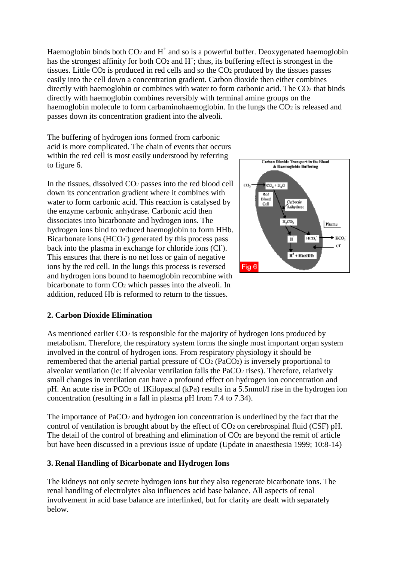Haemoglobin binds both  $CO<sub>2</sub>$  and  $H<sup>+</sup>$  and so is a powerful buffer. Deoxygenated haemoglobin has the strongest affinity for both  $CO<sub>2</sub>$  and  $H<sup>+</sup>$ ; thus, its buffering effect is strongest in the tissues. Little  $CO<sub>2</sub>$  is produced in red cells and so the  $CO<sub>2</sub>$  produced by the tissues passes easily into the cell down a concentration gradient. Carbon dioxide then either combines directly with haemoglobin or combines with water to form carbonic acid. The CO2 that binds directly with haemoglobin combines reversibly with terminal amine groups on the haemoglobin molecule to form carbaminohaemoglobin. In the lungs the  $CO<sub>2</sub>$  is released and passes down its concentration gradient into the alveoli.

The buffering of hydrogen ions formed from carbonic acid is more complicated. The chain of events that occurs within the red cell is most easily understood by referring to figure 6.

In the tissues, dissolved CO<sup>2</sup> passes into the red blood cell down its concentration gradient where it combines with water to form carbonic acid. This reaction is catalysed by the enzyme carbonic anhydrase. Carbonic acid then dissociates into bicarbonate and hydrogen ions. The hydrogen ions bind to reduced haemoglobin to form HHb. Bicarbonate ions (HCO<sub>3</sub><sup>)</sup> generated by this process pass back into the plasma in exchange for chloride ions (CI). This ensures that there is no net loss or gain of negative ions by the red cell. In the lungs this process is reversed and hydrogen ions bound to haemoglobin recombine with bicarbonate to form CO<sup>2</sup> which passes into the alveoli. In addition, reduced Hb is reformed to return to the tissues.



### **2. Carbon Dioxide Elimination**

As mentioned earlier CO<sub>2</sub> is responsible for the majority of hydrogen ions produced by metabolism. Therefore, the respiratory system forms the single most important organ system involved in the control of hydrogen ions. From respiratory physiology it should be remembered that the arterial partial pressure of CO<sup>2</sup> (PaCO2) is inversely proportional to alveolar ventilation (ie: if alveolar ventilation falls the PaCO<sub>2</sub> rises). Therefore, relatively small changes in ventilation can have a profound effect on hydrogen ion concentration and pH. An acute rise in PCO<sup>2</sup> of 1Kilopascal (kPa) results in a 5.5nmol/l rise in the hydrogen ion concentration (resulting in a fall in plasma pH from 7.4 to 7.34).

The importance of PaCO<sub>2</sub> and hydrogen ion concentration is underlined by the fact that the control of ventilation is brought about by the effect of  $CO<sub>2</sub>$  on cerebrospinal fluid (CSF) pH. The detail of the control of breathing and elimination of  $CO<sub>2</sub>$  are beyond the remit of article but have been discussed in a previous issue of update (Update in anaesthesia 1999; 10:8-14)

#### **3. Renal Handling of Bicarbonate and Hydrogen Ions**

The kidneys not only secrete hydrogen ions but they also regenerate bicarbonate ions. The renal handling of electrolytes also influences acid base balance. All aspects of renal involvement in acid base balance are interlinked, but for clarity are dealt with separately below.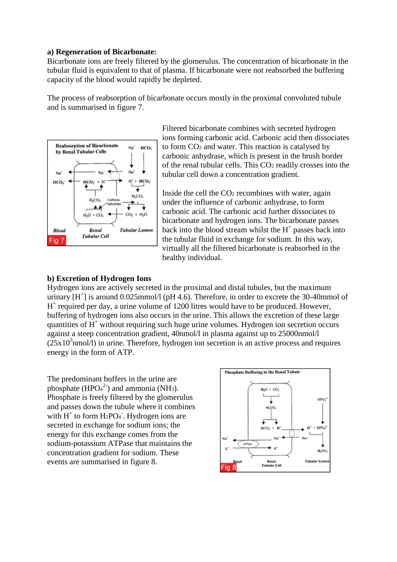#### **a) Regeneration of Bicarbonate:**

Bicarbonate ions are freely filtered by the glomerulus. The concentration of bicarbonate in the tubular fluid is equivalent to that of plasma. If bicarbonate were not reabsorbed the buffering capacity of the blood would rapidly be depleted.

The process of reabsorption of bicarbonate occurs mostly in the proximal convoluted tubule and is summarised in figure 7.



Filtered bicarbonate combines with secreted hydrogen ions forming carbonic acid. Carbonic acid then dissociates to form CO<sup>2</sup> and water. This reaction is catalysed by carbonic anhydrase, which is present in the brush border of the renal tubular cells. This CO<sup>2</sup> readily crosses into the tubular cell down a concentration gradient.

Inside the cell the CO<sup>2</sup> recombines with water, again under the influence of carbonic anhydrase, to form carbonic acid. The carbonic acid further dissociates to bicarbonate and hydrogen ions. The bicarbonate passes back into the blood stream whilst the  $H^+$  passes back into the tubular fluid in exchange for sodium. In this way, virtually all the filtered bicarbonate is reabsorbed in the healthy individual.

#### **b) Excretion of Hydrogen Ions**

Hydrogen ions are actively secreted in the proximal and distal tubules, but the maximum urinary  $[H^+]$  is around 0.025mmol/l (pH 4.6). Therefore, in order to excrete the 30-40mmol of H<sup>+</sup> required per day, a urine volume of 1200 litres would have to be produced. However, buffering of hydrogen ions also occurs in the urine. This allows the excretion of these large quantities of  $H^+$  without requiring such huge urine volumes. Hydrogen ion secretion occurs against a steep concentration gradient, 40nmol/l in plasma against up to 25000nmol/l  $(25x10<sup>3</sup>$ nmol $/1)$  in urine. Therefore, hydrogen ion secretion is an active process and requires energy in the form of ATP.

The predominant buffers in the urine are phosphate ( $HPO<sub>4</sub><sup>2</sup>$ ) and ammonia (NH<sub>3</sub>). Phosphate is freely filtered by the glomerulus and passes down the tubule where it combines with  $H^+$  to form H<sub>2</sub>PO<sub>4</sub>. Hydrogen ions are secreted in exchange for sodium ions; the energy for this exchange comes from the sodium-potassium ATPase that maintains the concentration gradient for sodium. These events are summarised in figure 8.

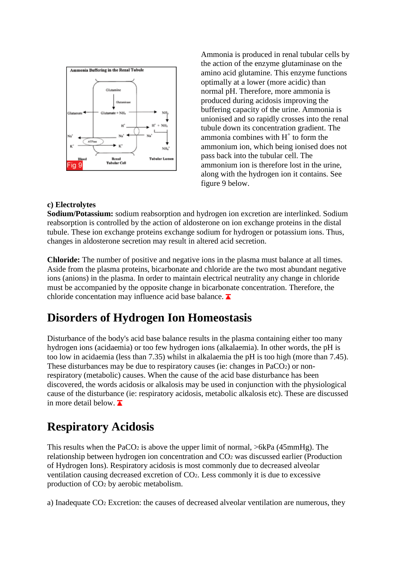

Ammonia is produced in renal tubular cells by the action of the enzyme glutaminase on the amino acid glutamine. This enzyme functions optimally at a lower (more acidic) than normal pH. Therefore, more ammonia is produced during acidosis improving the buffering capacity of the urine. Ammonia is unionised and so rapidly crosses into the renal tubule down its concentration gradient. The ammonia combines with  $H^+$  to form the ammonium ion, which being ionised does not pass back into the tubular cell. The ammonium ion is therefore lost in the urine, along with the hydrogen ion it contains. See figure 9 below.

#### **c) Electrolytes**

**Sodium/Potassium:** sodium reabsorption and hydrogen ion excretion are interlinked. Sodium reabsorption is controlled by the action of aldosterone on ion exchange proteins in the distal tubule. These ion exchange proteins exchange sodium for hydrogen or potassium ions. Thus, changes in aldosterone secretion may result in altered acid secretion.

**Chloride:** The number of positive and negative ions in the plasma must balance at all times. Aside from the plasma proteins, bicarbonate and chloride are the two most abundant negative ions (anions) in the plasma. In order to maintain electrical neutrality any change in chloride must be accompanied by the opposite change in bicarbonate concentration. Therefore, the chloride concentation may influence acid base balance.  $\blacksquare$ 

## **Disorders of Hydrogen Ion Homeostasis**

Disturbance of the body's acid base balance results in the plasma containing either too many hydrogen ions (acidaemia) or too few hydrogen ions (alkalaemia). In other words, the pH is too low in acidaemia (less than 7.35) whilst in alkalaemia the pH is too high (more than 7.45). These disturbances may be due to respiratory causes (ie: changes in PaCO<sub>2</sub>) or nonrespiratory (metabolic) causes. When the cause of the acid base disturbance has been discovered, the words acidosis or alkalosis may be used in conjunction with the physiological cause of the disturbance (ie: respiratory acidosis, metabolic alkalosis etc). These are discussed in more detail below.  $\overline{\blacktriangle}$ 

### **Respiratory Acidosis**

This results when the PaCO<sub>2</sub> is above the upper limit of normal,  $>6kPa$  (45mmHg). The relationship between hydrogen ion concentration and CO<sup>2</sup> was discussed earlier (Production of Hydrogen Ions). Respiratory acidosis is most commonly due to decreased alveolar ventilation causing decreased excretion of CO2. Less commonly it is due to excessive production of CO<sup>2</sup> by aerobic metabolism.

a) Inadequate CO<sup>2</sup> Excretion: the causes of decreased alveolar ventilation are numerous, they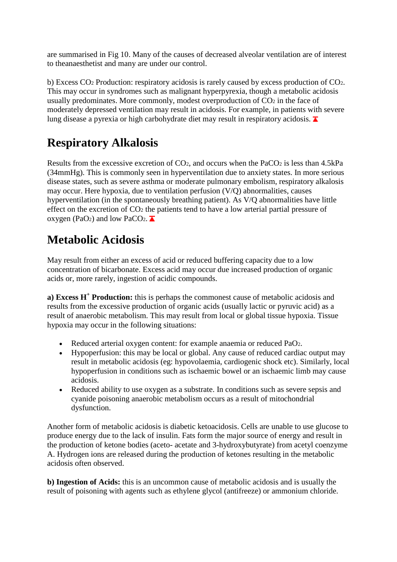are summarised in Fig 10. Many of the causes of decreased alveolar ventilation are of interest to theanaesthetist and many are under our control.

b) Excess CO<sup>2</sup> Production: respiratory acidosis is rarely caused by excess production of CO2. This may occur in syndromes such as malignant hyperpyrexia, though a metabolic acidosis usually predominates. More commonly, modest overproduction of  $CO<sub>2</sub>$  in the face of moderately depressed ventilation may result in acidosis. For example, in patients with severe lung disease a pyrexia or high carbohydrate diet may result in respiratory acidosis.  $\blacksquare$ 

# **Respiratory Alkalosis**

Results from the excessive excretion of CO2, and occurs when the PaCO<sup>2</sup> is less than 4.5kPa (34mmHg). This is commonly seen in hyperventilation due to anxiety states. In more serious disease states, such as severe asthma or moderate pulmonary embolism, respiratory alkalosis may occur. Here hypoxia, due to ventilation perfusion (V/Q) abnormalities, causes hyperventilation (in the spontaneously breathing patient). As V/Q abnormalities have little effect on the excretion of CO<sup>2</sup> the patients tend to have a low arterial partial pressure of oxygen (PaO<sub>2</sub>) and low PaCO<sub>2</sub>.

# **Metabolic Acidosis**

May result from either an excess of acid or reduced buffering capacity due to a low concentration of bicarbonate. Excess acid may occur due increased production of organic acids or, more rarely, ingestion of acidic compounds.

**a) Excess H<sup>+</sup> Production:** this is perhaps the commonest cause of metabolic acidosis and results from the excessive production of organic acids (usually lactic or pyruvic acid) as a result of anaerobic metabolism. This may result from local or global tissue hypoxia. Tissue hypoxia may occur in the following situations:

- Reduced arterial oxygen content: for example anaemia or reduced PaO2.
- Hypoperfusion: this may be local or global. Any cause of reduced cardiac output may result in metabolic acidosis (eg: hypovolaemia, cardiogenic shock etc). Similarly, local hypoperfusion in conditions such as ischaemic bowel or an ischaemic limb may cause acidosis.
- Reduced ability to use oxygen as a substrate. In conditions such as severe sepsis and cyanide poisoning anaerobic metabolism occurs as a result of mitochondrial dysfunction.

Another form of metabolic acidosis is diabetic ketoacidosis. Cells are unable to use glucose to produce energy due to the lack of insulin. Fats form the major source of energy and result in the production of ketone bodies (aceto- acetate and 3-hydroxybutyrate) from acetyl coenzyme A. Hydrogen ions are released during the production of ketones resulting in the metabolic acidosis often observed.

**b) Ingestion of Acids:** this is an uncommon cause of metabolic acidosis and is usually the result of poisoning with agents such as ethylene glycol (antifreeze) or ammonium chloride.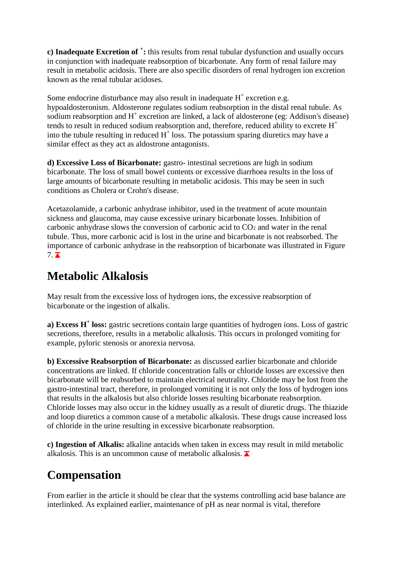**c) Inadequate Excretion of <sup>+</sup> :** this results from renal tubular dysfunction and usually occurs in conjunction with inadequate reabsorption of bicarbonate. Any form of renal failure may result in metabolic acidosis. There are also specific disorders of renal hydrogen ion excretion known as the renal tubular acidoses.

Some endocrine disturbance may also result in inadequate  $H^+$  excretion e.g. hypoaldosteronism. Aldosterone regulates sodium reabsorption in the distal renal tubule. As sodium reabsorption and  $H^+$  excretion are linked, a lack of aldosterone (eg: Addison's disease) tends to result in reduced sodium reabsorption and, therefore, reduced ability to excrete  $H^+$ into the tubule resulting in reduced  $H^+$  loss. The potassium sparing diuretics may have a similar effect as they act as aldostrone antagonists.

**d) Excessive Loss of Bicarbonate:** gastro- intestinal secretions are high in sodium bicarbonate. The loss of small bowel contents or excessive diarrhoea results in the loss of large amounts of bicarbonate resulting in metabolic acidosis. This may be seen in such conditions as Cholera or Crohn's disease.

Acetazolamide, a carbonic anhydrase inhibitor, used in the treatment of acute mountain sickness and glaucoma, may cause excessive urinary bicarbonate losses. Inhibition of carbonic anhydrase slows the conversion of carbonic acid to CO<sup>2</sup> and water in the renal tubule. Thus, more carbonic acid is lost in the urine and bicarbonate is not reabsorbed. The importance of carbonic anhydrase in the reabsorption of bicarbonate was illustrated in Figure  $7.$ 

## **Metabolic Alkalosis**

May result from the excessive loss of hydrogen ions, the excessive reabsorption of bicarbonate or the ingestion of alkalis.

**a) Excess H<sup>+</sup> loss:** gastric secretions contain large quantities of hydrogen ions. Loss of gastric secretions, therefore, results in a metabolic alkalosis. This occurs in prolonged vomiting for example, pyloric stenosis or anorexia nervosa.

**b) Excessive Reabsorption of Bicarbonate:** as discussed earlier bicarbonate and chloride concentrations are linked. If chloride concentration falls or chloride losses are excessive then bicarbonate will be reabsorbed to maintain electrical neutrality. Chloride may be lost from the gastro-intestinal tract, therefore, in prolonged vomiting it is not only the loss of hydrogen ions that results in the alkalosis but also chloride losses resulting bicarbonate reabsorption. Chloride losses may also occur in the kidney usually as a result of diuretic drugs. The thiazide and loop diuretics a common cause of a metabolic alkalosis. These drugs cause increased loss of chloride in the urine resulting in excessive bicarbonate reabsorption.

**c) Ingestion of Alkalis:** alkaline antacids when taken in excess may result in mild metabolic alkalosis. This is an uncommon cause of metabolic alkalosis.  $\blacktriangleright$ 

# **Compensation**

From earlier in the article it should be clear that the systems controlling acid base balance are interlinked. As explained earlier, maintenance of pH as near normal is vital, therefore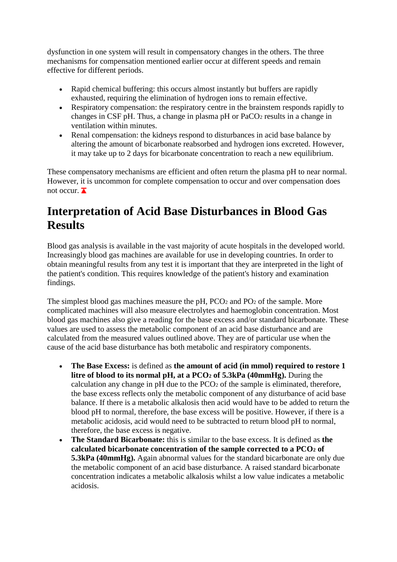dysfunction in one system will result in compensatory changes in the others. The three mechanisms for compensation mentioned earlier occur at different speeds and remain effective for different periods.

- Rapid chemical buffering: this occurs almost instantly but buffers are rapidly exhausted, requiring the elimination of hydrogen ions to remain effective.
- Respiratory compensation: the respiratory centre in the brainstem responds rapidly to changes in CSF pH. Thus, a change in plasma pH or PaCO<sup>2</sup> results in a change in ventilation within minutes.
- Renal compensation: the kidneys respond to disturbances in acid base balance by altering the amount of bicarbonate reabsorbed and hydrogen ions excreted. However, it may take up to 2 days for bicarbonate concentration to reach a new equilibrium.

These compensatory mechanisms are efficient and often return the plasma pH to near normal. However, it is uncommon for complete compensation to occur and over compensation does not occur.  $\overline{\blacktriangle}$ 

# **Interpretation of Acid Base Disturbances in Blood Gas Results**

Blood gas analysis is available in the vast majority of acute hospitals in the developed world. Increasingly blood gas machines are available for use in developing countries. In order to obtain meaningful results from any test it is important that they are interpreted in the light of the patient's condition. This requires knowledge of the patient's history and examination findings.

The simplest blood gas machines measure the pH, PCO<sub>2</sub> and PO<sub>2</sub> of the sample. More complicated machines will also measure electrolytes and haemoglobin concentration. Most blood gas machines also give a reading for the base excess and/or standard bicarbonate. These values are used to assess the metabolic component of an acid base disturbance and are calculated from the measured values outlined above. They are of particular use when the cause of the acid base disturbance has both metabolic and respiratory components.

- **The Base Excess:** is defined as **the amount of acid (in mmol) required to restore 1 litre of blood to its normal pH, at a PCO<sup>2</sup> of 5.3kPa (40mmHg).** During the calculation any change in  $pH$  due to the  $PCO<sub>2</sub>$  of the sample is eliminated, therefore, the base excess reflects only the metabolic component of any disturbance of acid base balance. If there is a metabolic alkalosis then acid would have to be added to return the blood pH to normal, therefore, the base excess will be positive. However, if there is a metabolic acidosis, acid would need to be subtracted to return blood pH to normal, therefore, the base excess is negative.
- **The Standard Bicarbonate:** this is similar to the base excess. It is defined as **the calculated bicarbonate concentration of the sample corrected to a PCO<sup>2</sup> of 5.3kPa (40mmHg).** Again abnormal values for the standard bicarbonate are only due the metabolic component of an acid base disturbance. A raised standard bicarbonate concentration indicates a metabolic alkalosis whilst a low value indicates a metabolic acidosis.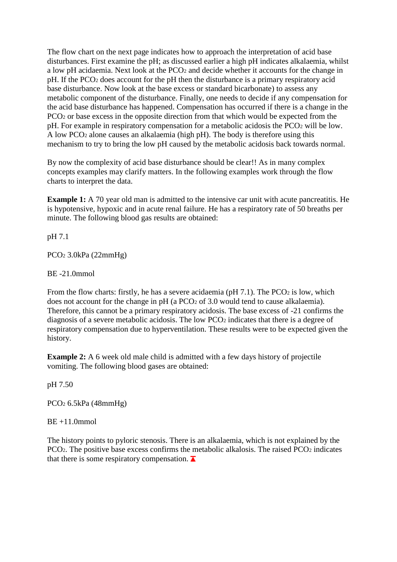The flow chart on the next page indicates how to approach the interpretation of acid base disturbances. First examine the pH; as discussed earlier a high pH indicates alkalaemia, whilst a low pH acidaemia. Next look at the PCO<sup>2</sup> and decide whether it accounts for the change in pH. If the PCO<sup>2</sup> does account for the pH then the disturbance is a primary respiratory acid base disturbance. Now look at the base excess or standard bicarbonate) to assess any metabolic component of the disturbance. Finally, one needs to decide if any compensation for the acid base disturbance has happened. Compensation has occurred if there is a change in the PCO<sub>2</sub> or base excess in the opposite direction from that which would be expected from the pH. For example in respiratory compensation for a metabolic acidosis the PCO<sup>2</sup> will be low. A low PCO<sup>2</sup> alone causes an alkalaemia (high pH). The body is therefore using this mechanism to try to bring the low pH caused by the metabolic acidosis back towards normal.

By now the complexity of acid base disturbance should be clear!! As in many complex concepts examples may clarify matters. In the following examples work through the flow charts to interpret the data.

**Example 1:** A 70 year old man is admitted to the intensive car unit with acute pancreatitis. He is hypotensive, hypoxic and in acute renal failure. He has a respiratory rate of 50 breaths per minute. The following blood gas results are obtained:

pH 7.1

PCO<sup>2</sup> 3.0kPa (22mmHg)

BE -21.0mmol

From the flow charts: firstly, he has a severe acidaemia ( $pH 7.1$ ). The PCO<sub>2</sub> is low, which does not account for the change in pH (a PCO<sub>2</sub> of 3.0 would tend to cause alkalaemia). Therefore, this cannot be a primary respiratory acidosis. The base excess of -21 confirms the diagnosis of a severe metabolic acidosis. The low PCO<sup>2</sup> indicates that there is a degree of respiratory compensation due to hyperventilation. These results were to be expected given the history.

**Example 2:** A 6 week old male child is admitted with a few days history of projectile vomiting. The following blood gases are obtained:

pH 7.50

PCO<sup>2</sup> 6.5kPa (48mmHg)

 $BE +11.0$ mmol

The history points to pyloric stenosis. There is an alkalaemia, which is not explained by the  $PCO<sub>2</sub>$ . The positive base excess confirms the metabolic alkalosis. The raised  $PCO<sub>2</sub>$  indicates that there is some respiratory compensation.  $\blacksquare$